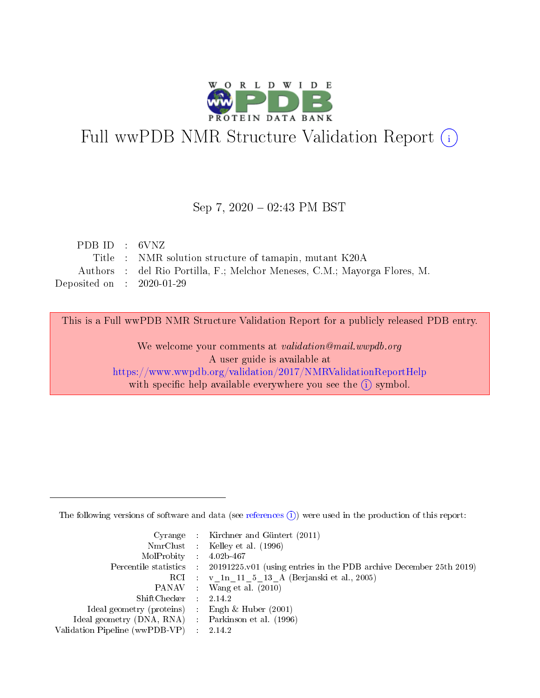

# Full wwPDB NMR Structure Validation Report (i)

## Sep 7,  $2020 - 02:43$  PM BST

| PDB ID : 6VNZ               |                                                                           |
|-----------------------------|---------------------------------------------------------------------------|
|                             | Title : NMR solution structure of tamapin, mutant K20A                    |
|                             | Authors : del Rio Portilla, F.; Melchor Meneses, C.M.; Mayorga Flores, M. |
| Deposited on : $2020-01-29$ |                                                                           |

This is a Full wwPDB NMR Structure Validation Report for a publicly released PDB entry.

We welcome your comments at validation@mail.wwpdb.org A user guide is available at <https://www.wwpdb.org/validation/2017/NMRValidationReportHelp> with specific help available everywhere you see the  $(i)$  symbol.

The following versions of software and data (see [references](https://www.wwpdb.org/validation/2017/NMRValidationReportHelp#references)  $(1)$ ) were used in the production of this report:

|                                                    | Cyrange : Kirchner and Güntert $(2011)$                                                    |
|----------------------------------------------------|--------------------------------------------------------------------------------------------|
|                                                    | NmrClust : Kelley et al. (1996)                                                            |
| $MolProbability$ 4.02b-467                         |                                                                                            |
|                                                    | Percentile statistics : 20191225.v01 (using entries in the PDB archive December 25th 2019) |
|                                                    | RCI : v 1n 11 5 13 A (Berjanski et al., 2005)                                              |
|                                                    | PANAV Wang et al. (2010)                                                                   |
| $ShiftChecker$ 2.14.2                              |                                                                                            |
| Ideal geometry (proteins) : Engh $\&$ Huber (2001) |                                                                                            |
| Ideal geometry (DNA, RNA) Parkinson et al. (1996)  |                                                                                            |
| Validation Pipeline (wwPDB-VP)                     | 2.14.2                                                                                     |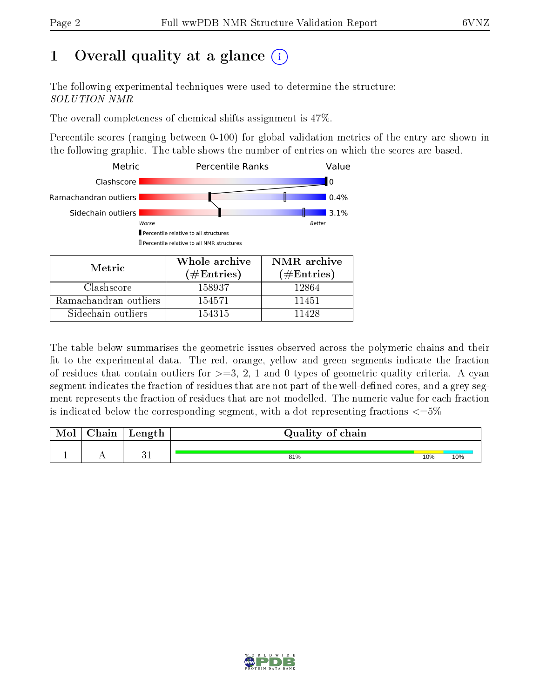# 1 [O](https://www.wwpdb.org/validation/2017/NMRValidationReportHelp#overall_quality)verall quality at a glance (i)

The following experimental techniques were used to determine the structure: SOLUTION NMR

The overall completeness of chemical shifts assignment is 47%.

Percentile scores (ranging between 0-100) for global validation metrics of the entry are shown in the following graphic. The table shows the number of entries on which the scores are based.



The table below summarises the geometric issues observed across the polymeric chains and their fit to the experimental data. The red, orange, yellow and green segments indicate the fraction of residues that contain outliers for  $>=3, 2, 1$  and 0 types of geometric quality criteria. A cyan segment indicates the fraction of residues that are not part of the well-defined cores, and a grey segment represents the fraction of residues that are not modelled. The numeric value for each fraction is indicated below the corresponding segment, with a dot representing fractions  $\epsilon = 5\%$ 

| <b>Mol</b> | ${\bf Chain}$ | Length | Quality of chain |     |     |
|------------|---------------|--------|------------------|-----|-----|
|            | . .           |        | 81%              | 10% | 10% |

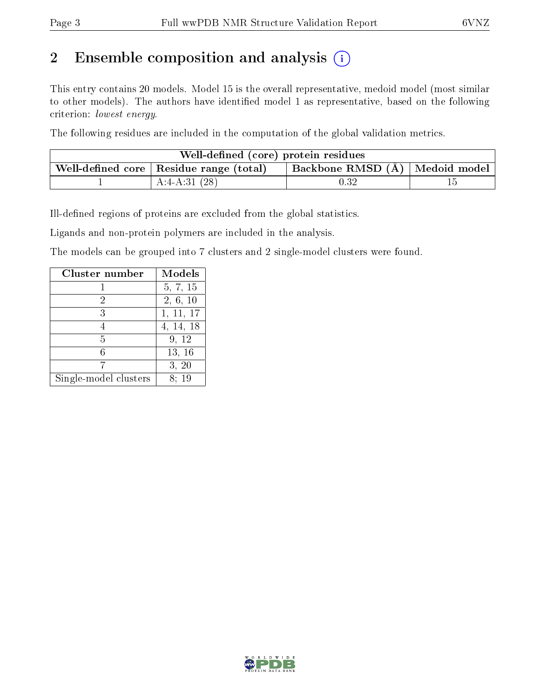# 2 Ensemble composition and analysis  $(i)$

This entry contains 20 models. Model 15 is the overall representative, medoid model (most similar to other models). The authors have identified model 1 as representative, based on the following criterion: lowest energy.

The following residues are included in the computation of the global validation metrics.

| Well-defined (core) protein residues |                                                |                                    |  |  |  |
|--------------------------------------|------------------------------------------------|------------------------------------|--|--|--|
|                                      | Well-defined core $\mid$ Residue range (total) | Backbone RMSD $(A)$   Medoid model |  |  |  |
|                                      | A:4-A:31 $(28)$                                | $\rm 0.32$                         |  |  |  |

Ill-defined regions of proteins are excluded from the global statistics.

Ligands and non-protein polymers are included in the analysis.

The models can be grouped into 7 clusters and 2 single-model clusters were found.

| Cluster number        | Models    |
|-----------------------|-----------|
|                       | 5, 7, 15  |
| 2                     | 2, 6, 10  |
| 3                     | 1, 11, 17 |
|                       | 4, 14, 18 |
| 5                     | 9, 12     |
| հ                     | 13, 16    |
|                       | 3, 20     |
| Single-model clusters | 8: 19     |

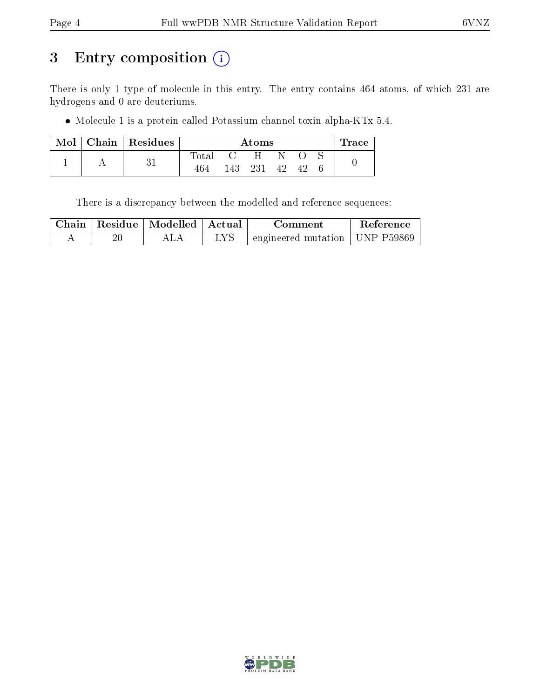# 3 Entry composition (i)

There is only 1 type of molecule in this entry. The entry contains 464 atoms, of which 231 are hydrogens and 0 are deuteriums.

Molecule 1 is a protein called Potassium channel toxin alpha-KTx 5.4.

| Mol |   | Chain   Residues | Atoms          |     |    |          |  | $\Gamma$ race |  |
|-----|---|------------------|----------------|-----|----|----------|--|---------------|--|
|     |   |                  | $_{\rm Total}$ |     | H  |          |  |               |  |
|     | ୰ | 464              | 143.           | 231 | 42 | $\Delta$ |  |               |  |

There is a discrepancy between the modelled and reference sequences:

| Chain | Residue   Modelled | Actual | Comment                                     | Reference |
|-------|--------------------|--------|---------------------------------------------|-----------|
|       |                    |        | $\pm$ engineered mutation $\pm$ UNP P59869. |           |

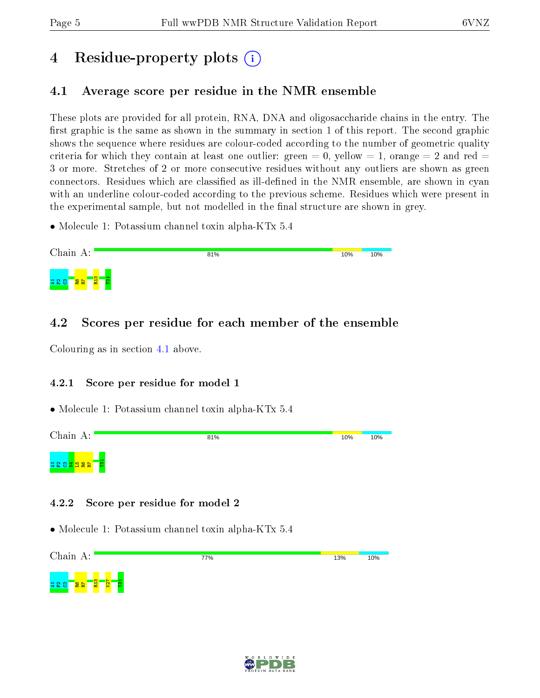# 4 Residue-property plots  $\binom{1}{1}$

# <span id="page-4-0"></span>4.1 Average score per residue in the NMR ensemble

These plots are provided for all protein, RNA, DNA and oligosaccharide chains in the entry. The first graphic is the same as shown in the summary in section 1 of this report. The second graphic shows the sequence where residues are colour-coded according to the number of geometric quality criteria for which they contain at least one outlier: green  $= 0$ , yellow  $= 1$ , orange  $= 2$  and red  $=$ 3 or more. Stretches of 2 or more consecutive residues without any outliers are shown as green connectors. Residues which are classified as ill-defined in the NMR ensemble, are shown in cyan with an underline colour-coded according to the previous scheme. Residues which were present in the experimental sample, but not modelled in the final structure are shown in grey.

• Molecule 1: Potassium channel toxin alpha-KTx 5.4

| Chain A:                                                             | 81% | 10% | 10% |
|----------------------------------------------------------------------|-----|-----|-----|
| $\overline{\mathbf{m}}$ .<br><b>28</b><br>82<br><b>428</b><br>း<br>튊 |     |     |     |

# 4.2 Scores per residue for each member of the ensemble

Colouring as in section [4.1](#page-4-0) above.

## 4.2.1 Score per residue for model 1

• Molecule 1: Potassium channel toxin alpha-KTx 5.4



## 4.2.2 Score per residue for model 2

• Molecule 1: Potassium channel toxin alpha-KTx 5.4

Chain A: 77% 13% 10%  $\frac{2}{2}$ K27 Y31보안 <mark>않는</mark>

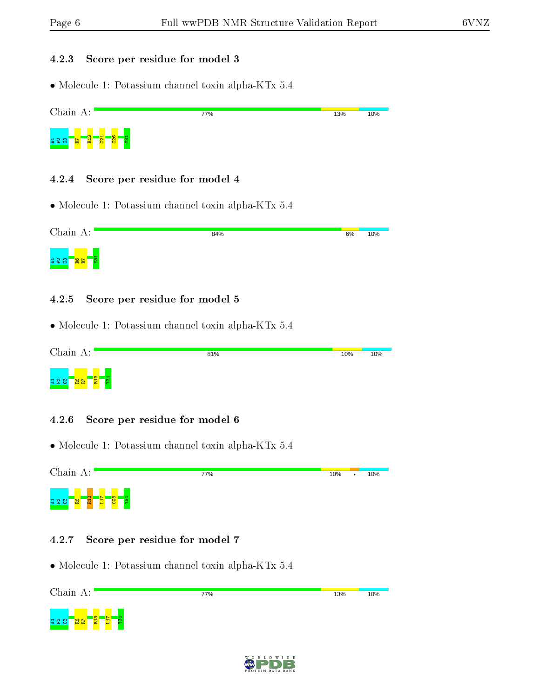#### 4.2.3 Score per residue for model 3

• Molecule 1: Potassium channel toxin alpha-KTx 5.4



## 4.2.4 Score per residue for model 4

• Molecule 1: Potassium channel toxin alpha-KTx 5.4

| Chain A:                         | 84% | 6% | 10% |
|----------------------------------|-----|----|-----|
| <b>228</b><br><b>g</b><br>阁<br>層 |     |    |     |

## 4.2.5 Score per residue for model 5

• Molecule 1: Potassium channel toxin alpha-KTx 5.4

| Chain A:                         | 81% | 10% | 10% |
|----------------------------------|-----|-----|-----|
| က၊<br>222<br>$\frac{12}{8}$<br>붑 |     |     |     |

## 4.2.6 Score per residue for model 6

• Molecule 1: Potassium channel toxin alpha-KTx 5.4



## 4.2.7 Score per residue for model 7



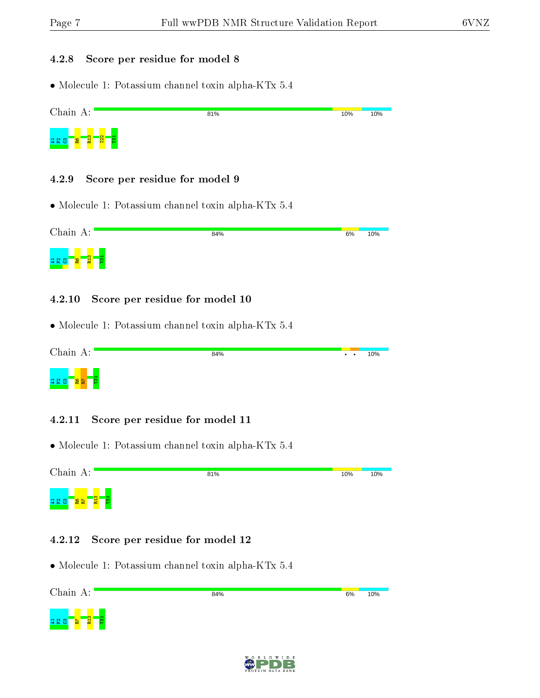#### 4.2.8 Score per residue for model 8

• Molecule 1: Potassium channel toxin alpha-KTx 5.4



## 4.2.9 Score per residue for model 9

• Molecule 1: Potassium channel toxin alpha-KTx 5.4

Chain A: 84%  $6%$ 10% ក្នុង <mark>ក្នុង</mark>  $\frac{1}{2}$ 

## 4.2.10 Score per residue for model 10

• Molecule 1: Potassium channel toxin alpha-KTx 5.4

Chain A: 84% 10%  $\overline{\cdot}$  $\bullet$  $\mathbb{E}$ 보없 <mark>않는</mark>

## 4.2.11 Score per residue for model 11

• Molecule 1: Potassium channel toxin alpha-KTx 5.4

Chain A: 81% 10% 10% R13 Y31 ang <mark>ara</mark>

## 4.2.12 Score per residue for model 12



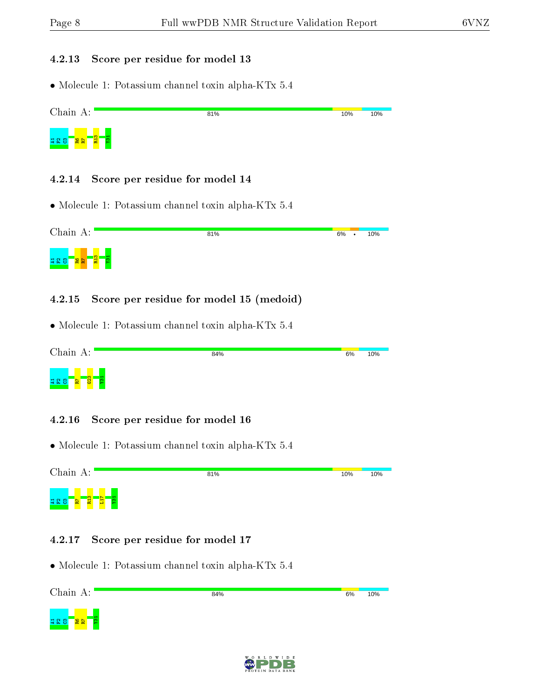#### 4.2.13 Score per residue for model 13

• Molecule 1: Potassium channel toxin alpha-KTx 5.4



## 4.2.14 Score per residue for model 14

• Molecule 1: Potassium channel toxin alpha-KTx 5.4

| Chain A:                           | 81% | 6% | ٠ | 10% |
|------------------------------------|-----|----|---|-----|
| ကျ<br><b>428</b><br><u>여영</u><br>륱 |     |    |   |     |

## 4.2.15 Score per residue for model 15 (medoid)

• Molecule 1: Potassium channel toxin alpha-KTx 5.4

| Chain A:                                         | 84% | 6% | 10% |
|--------------------------------------------------|-----|----|-----|
| $\frac{1}{2}$<br>-<br><b>228</b><br>ന<br>R<br>ъ. |     |    |     |

## 4.2.16 Score per residue for model 16

• Molecule 1: Potassium channel toxin alpha-KTx 5.4

Chain A: 81% 10% 10% ដ្ឋ <mark>ក្នុង</mark> ក្នុង L17  $\frac{1}{2}$ 

## 4.2.17 Score per residue for model 17



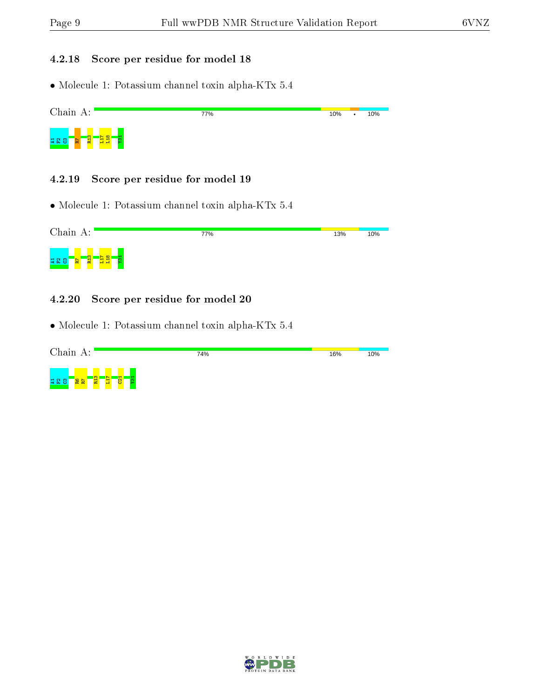## 4.2.18 Score per residue for model 18

• Molecule 1: Potassium channel toxin alpha-KTx 5.4

| Chain A:                                                  | 77% | 10% | ٠ | 10% |
|-----------------------------------------------------------|-----|-----|---|-----|
| $\infty$<br>က၊<br><b>428</b><br><b>PE</b><br>圔<br>ıн<br>− |     |     |   |     |

#### 4.2.19 Score per residue for model 19

• Molecule 1: Potassium channel toxin alpha-KTx 5.4

| Chain A:                                                                                   | 77% | 13% | 10% |
|--------------------------------------------------------------------------------------------|-----|-----|-----|
| $\infty$<br>ິຕ<br>$\blacksquare$<br>$\blacksquare$<br>불<br><b>228</b><br>Æ<br>E,<br>g<br>뮵 |     |     |     |

## 4.2.20 Score per residue for model 20

| Chain A:                                                                                         | 74% | 16% | 10% |
|--------------------------------------------------------------------------------------------------|-----|-----|-----|
| <u>က</u> ္<br>$\overline{\mathbf{g}}$<br>$\overline{\phantom{0}}$<br>720<br>$\frac{28}{28}$<br>Π |     |     |     |

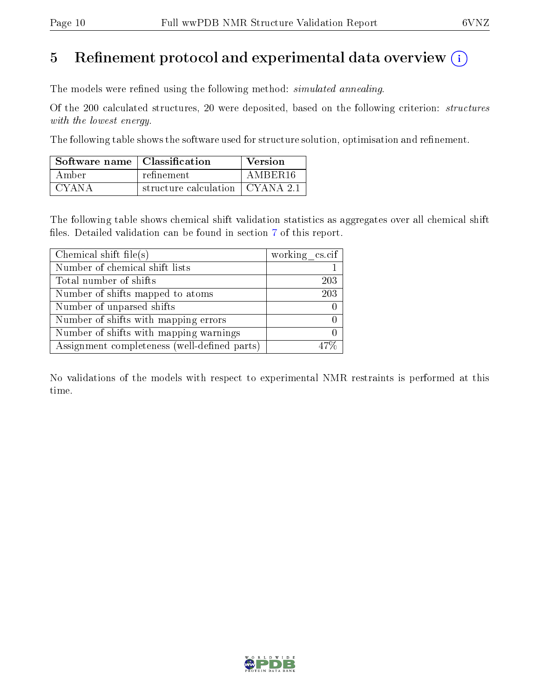# 5 Refinement protocol and experimental data overview  $\binom{1}{k}$

The models were refined using the following method: *simulated annealing*.

Of the 200 calculated structures, 20 were deposited, based on the following criterion: structures with the lowest energy.

The following table shows the software used for structure solution, optimisation and refinement.

| Software name   Classification |                                         | Version |
|--------------------------------|-----------------------------------------|---------|
| Amber -                        | refinement                              | AMBER16 |
| CYANA                          | structure calculation $\vert$ CYANA 2.1 |         |

The following table shows chemical shift validation statistics as aggregates over all chemical shift files. Detailed validation can be found in section [7](#page-13-0) of this report.

| Chemical shift file(s)                       | working cs.cif |
|----------------------------------------------|----------------|
| Number of chemical shift lists               |                |
| Total number of shifts                       | 203            |
| Number of shifts mapped to atoms             | 203            |
| Number of unparsed shifts                    |                |
| Number of shifts with mapping errors         |                |
| Number of shifts with mapping warnings       |                |
| Assignment completeness (well-defined parts) |                |

No validations of the models with respect to experimental NMR restraints is performed at this time.

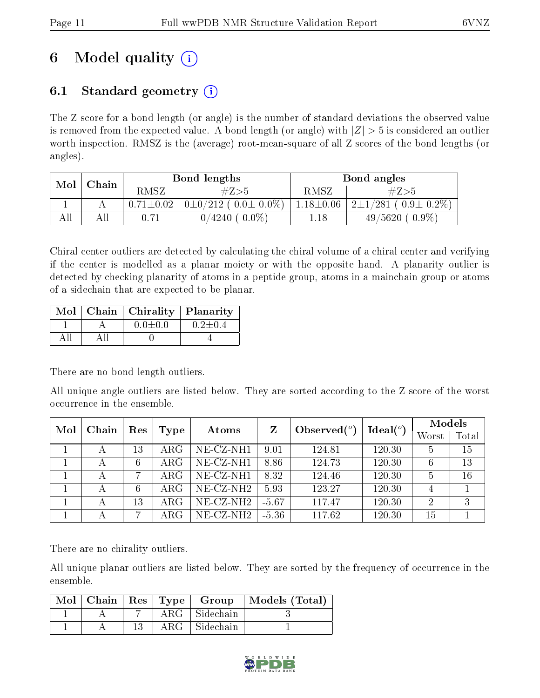# 6 Model quality  $(i)$

# 6.1 Standard geometry  $(i)$

The Z score for a bond length (or angle) is the number of standard deviations the observed value is removed from the expected value. A bond length (or angle) with  $|Z| > 5$  is considered an outlier worth inspection. RMSZ is the (average) root-mean-square of all Z scores of the bond lengths (or angles).

| Mol<br>Chain |     |                 | Bond lengths                  | Bond angles     |                               |  |
|--------------|-----|-----------------|-------------------------------|-----------------|-------------------------------|--|
|              |     | RMSZ            | #Z>5                          | RMSZ            | #Z>5                          |  |
|              |     | $0.71 \pm 0.02$ | $0\pm0/212$ ( $0.0\pm0.0\%$ ) | $1.18 \pm 0.06$ | $2\pm1/281$ ( $0.9\pm0.2\%$ ) |  |
| All          | Αll | $0.71\,$        | $0.0\%$<br>$4240\,$           | 1.18            | $0.9\%$<br>$49/5620$ (        |  |

Chiral center outliers are detected by calculating the chiral volume of a chiral center and verifying if the center is modelled as a planar moiety or with the opposite hand. A planarity outlier is detected by checking planarity of atoms in a peptide group, atoms in a mainchain group or atoms of a sidechain that are expected to be planar.

|  | Mol   Chain   Chirality   Planarity |               |
|--|-------------------------------------|---------------|
|  | $0.0 \pm 0.0$                       | $0.2 \pm 0.4$ |
|  |                                     |               |

There are no bond-length outliers.

All unique angle outliers are listed below. They are sorted according to the Z-score of the worst occurrence in the ensemble.

| Mol | Chain<br>Res |    |             |              | Observed $(°)$<br>Z |        | Ideal $(°)$ | Models |    |
|-----|--------------|----|-------------|--------------|---------------------|--------|-------------|--------|----|
|     |              |    | Type        | Atoms        |                     | Worst  |             | Total  |    |
|     |              | 13 | $\rm{ARG}$  | NE-CZ-NH1    | 9.01                | 124.81 | 120.30      | 5      | 15 |
|     |              |    | $\rm{ARG}$  | NE-CZ-NH1    | 8.86                | 124.73 | 120.30      |        | 13 |
|     | А            | 7  | $\rm{ARG}$  | NE-CZ-NH1    | 8.32                | 124.46 | 120.30      | 5      | 16 |
|     |              |    | ${\rm ARG}$ | $NE- CZ-NH2$ | 5.93                | 123.27 | 120.30      | 4      |    |
|     |              | 13 | ARG         | $NE- CZ-NH2$ | $-5.67$             | 117.47 | 120.30      | 2      | 3  |
|     |              |    | ARG         | $NE-CZ-NH2$  | $-5.36$             | 117.62 | 120.30      | 15     |    |

There are no chirality outliers.

All unique planar outliers are listed below. They are sorted by the frequency of occurrence in the ensemble.

|  |               | Mol   Chain   Res   Type   Group | $\vert$ Models (Total) |
|--|---------------|----------------------------------|------------------------|
|  | ${\rm ARG}^-$ | Sidechain                        |                        |
|  | ${\rm ARG}^-$ | Sidechain                        |                        |

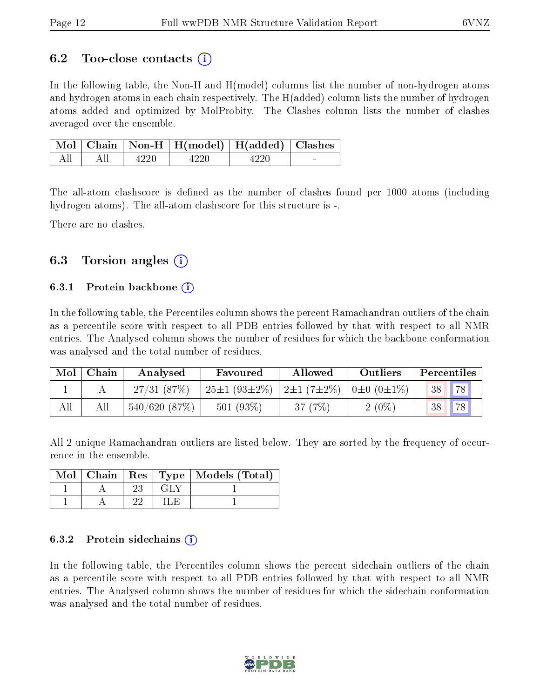# 6.2 Too-close contacts  $(i)$

In the following table, the Non-H and H(model) columns list the number of non-hydrogen atoms and hydrogen atoms in each chain respectively. The H(added) column lists the number of hydrogen atoms added and optimized by MolProbity. The Clashes column lists the number of clashes averaged over the ensemble.

|    |     |       | Mol Chain Non-H H(model)   H(added)   Clashes |      |  |
|----|-----|-------|-----------------------------------------------|------|--|
| AΠ | All | -4220 | $-4220$                                       | 4990 |  |

The all-atom clashscore is defined as the number of clashes found per 1000 atoms (including hydrogen atoms). The all-atom clashscore for this structure is -.

There are no clashes.

# 6.3 Torsion angles  $(i)$

## 6.3.1 Protein backbone  $(i)$

In the following table, the Percentiles column shows the percent Ramachandran outliers of the chain as a percentile score with respect to all PDB entries followed by that with respect to all NMR entries. The Analysed column shows the number of residues for which the backbone conformation was analysed and the total number of residues.

| $\bf{Mol}$ | Chain | Analysed     | Favoured                       | Allowed            | <b>Outliers</b>          |    | Percentiles |
|------------|-------|--------------|--------------------------------|--------------------|--------------------------|----|-------------|
|            |       | 27/31(87%)   | $\pm 25 \pm 1$ (93 $\pm 2\%$ ) | $ 2\pm1(7\pm2\%) $ | $10 \pm 0$ $(0 \pm 1\%)$ | 38 | 78          |
| All        | Аll   | 540/620(87%) | 501(93%)                       | 37 (7%)            | $2(0\%)$                 | 38 | 78          |

All 2 unique Ramachandran outliers are listed below. They are sorted by the frequency of occurrence in the ensemble.

|  |    |       | Mol   Chain   Res   Type   Models (Total) |
|--|----|-------|-------------------------------------------|
|  | 23 | – GLY |                                           |
|  | ດດ |       |                                           |

## 6.3.2 Protein sidechains  $(i)$

In the following table, the Percentiles column shows the percent sidechain outliers of the chain as a percentile score with respect to all PDB entries followed by that with respect to all NMR entries. The Analysed column shows the number of residues for which the sidechain conformation was analysed and the total number of residues.

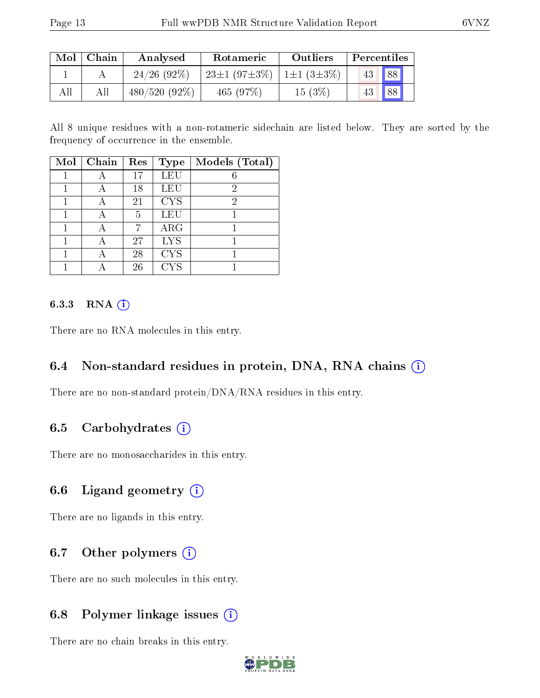| $\operatorname{Mol}$ | Chain | Analysed        | Rotameric                                        | Outliers | Percentiles            |  |
|----------------------|-------|-----------------|--------------------------------------------------|----------|------------------------|--|
|                      |       | $24/26$ (92\%)  | $23\pm1$ (97 $\pm3\%$ )   1 $\pm1$ (3 $\pm3\%$ ) |          | $\vert 88 \vert$<br>43 |  |
| All                  |       | $480/520(92\%)$ | 465(97%)                                         | 15(3%)   | 88 <br>43              |  |

All 8 unique residues with a non-rotameric sidechain are listed below. They are sorted by the frequency of occurrence in the ensemble.

| Mol | Chain | Res | <b>Type</b> | Models (Total) |
|-----|-------|-----|-------------|----------------|
|     |       | 17  | LEU         |                |
|     |       | 18  | LEU         | 2              |
|     |       | 21  | <b>CYS</b>  | 2              |
|     |       | 5   | LEU         |                |
|     | А     |     | ARG         |                |
|     |       | 27  | <b>LYS</b>  |                |
|     |       | 28  | <b>CYS</b>  |                |
|     |       | 26  | <b>CYS</b>  |                |

## 6.3.3 RNA (i)

There are no RNA molecules in this entry.

## 6.4 Non-standard residues in protein, DNA, RNA chains (i)

There are no non-standard protein/DNA/RNA residues in this entry.

# 6.5 Carbohydrates  $(i)$

There are no monosaccharides in this entry.

# 6.6 Ligand geometry  $(i)$

There are no ligands in this entry.

## 6.7 [O](https://www.wwpdb.org/validation/2017/NMRValidationReportHelp#nonstandard_residues_and_ligands)ther polymers  $(i)$

There are no such molecules in this entry.

## 6.8 Polymer linkage issues  $(i)$

There are no chain breaks in this entry.

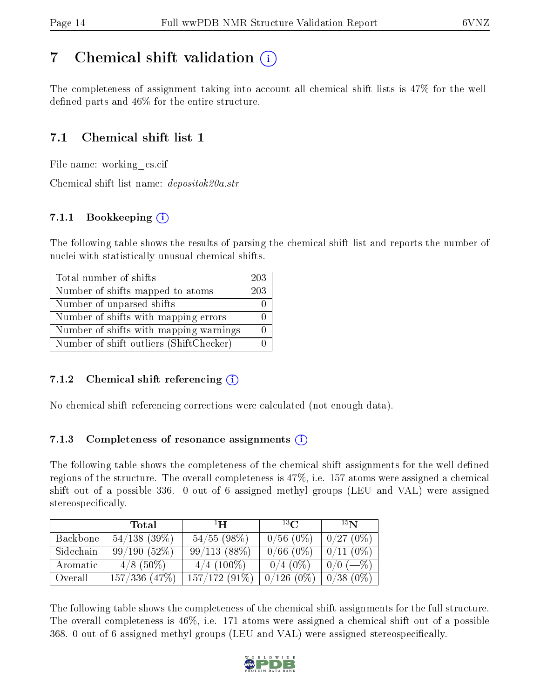# <span id="page-13-0"></span>7 Chemical shift validation  $\left( \begin{array}{c} \overline{\phantom{a}} \\ \overline{\phantom{a}} \end{array} \right)$

The completeness of assignment taking into account all chemical shift lists is 47% for the welldefined parts and  $46\%$  for the entire structure.

# 7.1 Chemical shift list 1

File name: working\_cs.cif

Chemical shift list name: depositok20a.str

# 7.1.1 Bookkeeping (i)

The following table shows the results of parsing the chemical shift list and reports the number of nuclei with statistically unusual chemical shifts.

| Total number of shifts                  | 203 |
|-----------------------------------------|-----|
| Number of shifts mapped to atoms        | 203 |
| Number of unparsed shifts               |     |
| Number of shifts with mapping errors    |     |
| Number of shifts with mapping warnings  |     |
| Number of shift outliers (ShiftChecker) |     |

## 7.1.2 Chemical shift referencing  $\hat{I}$

No chemical shift referencing corrections were calculated (not enough data).

## 7.1.3 Completeness of resonance assignments  $(i)$

The following table shows the completeness of the chemical shift assignments for the well-defined regions of the structure. The overall completeness is 47%, i.e. 157 atoms were assigned a chemical shift out of a possible 336. 0 out of 6 assigned methyl groups (LEU and VAL) were assigned stereospecifically.

|           | Total             | $\mathbf{H}$  | $^{13}C$     | 15N         |
|-----------|-------------------|---------------|--------------|-------------|
| Backbone  | $54/138$ (39\%)   | 54/55(98%)    | $0/56(0\%)$  | 0/27(0%)    |
| Sidechain | 99/190(52%)       | 99/113(88%)   | $0/66(0\%)$  | $0/11(0\%)$ |
| Aromatic  | $4/8$ (50\%)      | $4/4$ (100\%) | $0/4$ (0\%)  | $0/0$ (-\%) |
| Overall   | $157/336$ $(47%)$ | 157/172(91%)  | $0/126(0\%)$ | $0/38(0\%)$ |

The following table shows the completeness of the chemical shift assignments for the full structure. The overall completeness is 46%, i.e. 171 atoms were assigned a chemical shift out of a possible 368. 0 out of 6 assigned methyl groups (LEU and VAL) were assigned stereospecifically.